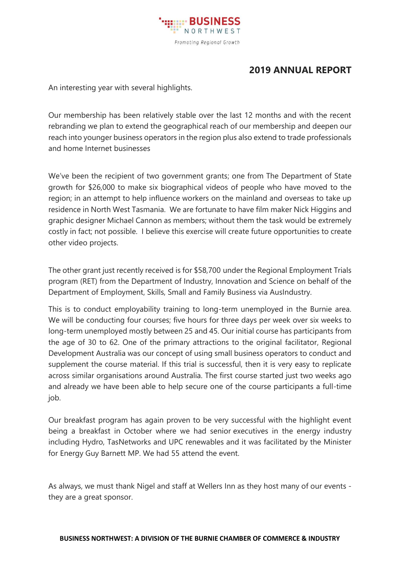

## **2019 ANNUAL REPORT**

An interesting year with several highlights.

Our membership has been relatively stable over the last 12 months and with the recent rebranding we plan to extend the geographical reach of our membership and deepen our reach into younger business operators in the region plus also extend to trade professionals and home Internet businesses

We've been the recipient of two government grants; one from The Department of State growth for \$26,000 to make six biographical videos of people who have moved to the region; in an attempt to help influence workers on the mainland and overseas to take up residence in North West Tasmania. We are fortunate to have film maker Nick Higgins and graphic designer Michael Cannon as members; without them the task would be extremely costly in fact; not possible. I believe this exercise will create future opportunities to create other video projects.

The other grant just recently received is for \$58,700 under the Regional Employment Trials program (RET) from the Department of Industry, Innovation and Science on behalf of the Department of Employment, Skills, Small and Family Business via AusIndustry.

This is to conduct employability training to long-term unemployed in the Burnie area. We will be conducting four courses; five hours for three days per week over six weeks to long-term unemployed mostly between 25 and 45. Our initial course has participants from the age of 30 to 62. One of the primary attractions to the original facilitator, Regional Development Australia was our concept of using small business operators to conduct and supplement the course material. If this trial is successful, then it is very easy to replicate across similar organisations around Australia. The first course started just two weeks ago and already we have been able to help secure one of the course participants a full-time job.

Our breakfast program has again proven to be very successful with the highlight event being a breakfast in October where we had senior executives in the energy industry including Hydro, TasNetworks and UPC renewables and it was facilitated by the Minister for Energy Guy Barnett MP. We had 55 attend the event.

As always, we must thank Nigel and staff at Wellers Inn as they host many of our events they are a great sponsor.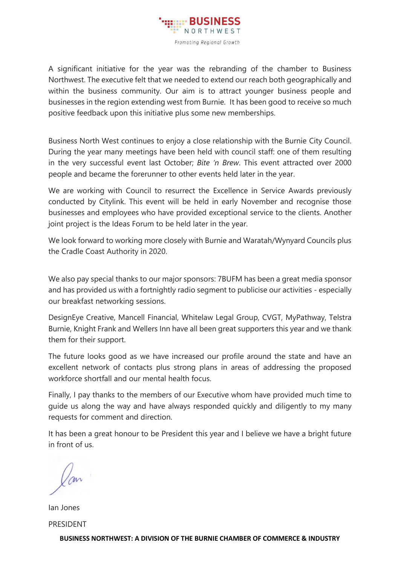

A significant initiative for the year was the rebranding of the chamber to Business Northwest. The executive felt that we needed to extend our reach both geographically and within the business community. Our aim is to attract younger business people and businesses in the region extending west from Burnie. It has been good to receive so much positive feedback upon this initiative plus some new memberships.

Business North West continues to enjoy a close relationship with the Burnie City Council. During the year many meetings have been held with council staff: one of them resulting in the very successful event last October; *Bite 'n Brew*. This event attracted over 2000 people and became the forerunner to other events held later in the year.

We are working with Council to resurrect the Excellence in Service Awards previously conducted by Citylink. This event will be held in early November and recognise those businesses and employees who have provided exceptional service to the clients. Another joint project is the Ideas Forum to be held later in the year.

We look forward to working more closely with Burnie and Waratah/Wynyard Councils plus the Cradle Coast Authority in 2020.

We also pay special thanks to our major sponsors: 7BUFM has been a great media sponsor and has provided us with a fortnightly radio segment to publicise our activities - especially our breakfast networking sessions.

DesignEye Creative, Mancell Financial, Whitelaw Legal Group, CVGT, MyPathway, Telstra Burnie, Knight Frank and Wellers Inn have all been great supporters this year and we thank them for their support.

The future looks good as we have increased our profile around the state and have an excellent network of contacts plus strong plans in areas of addressing the proposed workforce shortfall and our mental health focus.

Finally, I pay thanks to the members of our Executive whom have provided much time to guide us along the way and have always responded quickly and diligently to my many requests for comment and direction.

It has been a great honour to be President this year and I believe we have a bright future in front of us.

Ian Jones PRESIDENT

**BUSINESS NORTHWEST: A DIVISION OF THE BURNIE CHAMBER OF COMMERCE & INDUSTRY**